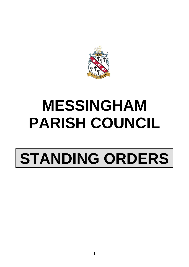

## **MESSINGHAM PARISH COUNCIL**

# **STANDING ORDERS**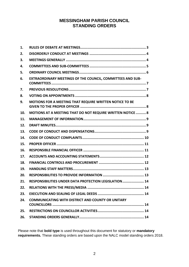### **MESSINGHAM PARISH COUNCIL STANDING ORDERS**

| 1.  |                                                            |
|-----|------------------------------------------------------------|
| 2.  |                                                            |
| 3.  |                                                            |
| 4.  |                                                            |
| 5.  |                                                            |
| 6.  | EXTRAORDINARY MEETINGS OF THE COUNCIL, COMMITTEES AND SUB- |
| 7.  |                                                            |
| 8.  |                                                            |
| 9.  | MOTIONS FOR A MEETING THAT REQUIRE WRITTEN NOTICE TO BE    |
| 10. | MOTIONS AT A MEETING THAT DO NOT REQUIRE WRITTEN NOTICE  8 |
| 11. |                                                            |
| 12. |                                                            |
| 13. |                                                            |
| 14. |                                                            |
| 15. |                                                            |
| 16. |                                                            |
| 17. |                                                            |
| 18. |                                                            |
| 19. |                                                            |
| 20. |                                                            |
| 21. | RESPONSIBILITIES UNDER DATA PROTECTION LEGISLATION 14      |
| 22. |                                                            |
| 23. |                                                            |
| 24. | <b>COMMUNICATING WITH DISTRICT AND COUNTY OR UNITARY</b>   |
| 25. |                                                            |
| 26. |                                                            |

Please note that **bold type** is used throughout this document for statutory or **mandatory requirements.** These standing orders are based upon the NALC model standing orders 2018.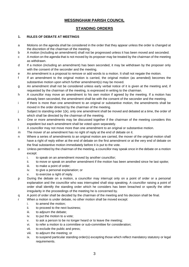#### **MESSINGHAM PARISH COUNCIL**

#### **STANDING ORDERS**

#### <span id="page-2-0"></span>**1. RULES OF DEBATE AT MEETINGS**

- a Motions on the agenda shall be considered in the order that they appear unless the order is changed at the discretion of the chairman of the meeting.
- b A motion (including an amendment) shall not be progressed unless it has been moved and seconded.
- c A motion on the agenda that is not moved by its proposer may be treated by the chairman of the meeting as withdrawn.
- d If a motion (including an amendment) has been seconded, it may be withdrawn by the proposer only with the consent of the seconder and the meeting.
- e An amendment is a proposal to remove or add words to a motion. It shall not negate the motion.
- f If an amendment to the original motion is carried, the original motion (as amended) becomes the substantive motion upon which further amendment(s) may be moved.
- g An amendment shall not be considered unless early verbal notice of it is given at the meeting and, if requested by the chairman of the meeting, is expressed in writing to the chairman.
- h A councillor may move an amendment to his own motion if agreed by the meeting. If a motion has already been seconded, the amendment shall be with the consent of the seconder and the meeting.
- i If there is more than one amendment to an original or substantive motion, the amendments shall be moved in the order directed by the chairman of the meeting.
- j Subject to standing order 1(k), only one amendment shall be moved and debated at a time, the order of which shall be directed by the chairman of the meeting.
- k One or more amendments may be discussed together if the chairman of the meeting considers this expedient but each amendment shall be voted upon separately.
- l A councillor may not move more than one amendment to an original or substantive motion.
- m The mover of an amendment has no right of reply at the end of debate on it.
- n Where a series of amendments to an original motion are carried, the mover of the original motion shall have a right of reply either at the end of debate on the first amendment or at the very end of debate on the final substantive motion immediately before it is put to the vote.
- o Unless permitted by the chairman of the meeting, a councillor may speak once in the debate on a motion except:
	- i. to speak on an amendment moved by another councillor;
	- ii. to move or speak on another amendment if the motion has been amended since he last spoke;
	- iii. to make a point of order;
	- iv. to give a personal explanation; or
	- v. to exercise a right of reply.
- p During the debate on a motion, a councillor may interrupt only on a point of order or a personal explanation and the councillor who was interrupted shall stop speaking. A councillor raising a point of order shall identify the standing order which he considers has been breached or specify the other irregularity in the proceedings of the meeting he is concerned by.
- q A point of order shall be decided by the chairman of the meeting and his decision shall be final.
- r When a motion is under debate, no other motion shall be moved except:
	- i. to amend the motion;
	- ii. to proceed to the next business;
	- iii. to adjourn the debate;
	- iv. to put the motion to a vote;
	- v. to ask a person to be no longer heard or to leave the meeting;
	- vi. to refer a motion to a committee or sub-committee for consideration;
	- vii. to exclude the public and press;
	- viii. to adjourn the meeting; or
	- ix. to suspend particular standing order(s) excepting those which reflect mandatory statutory or legal requirements.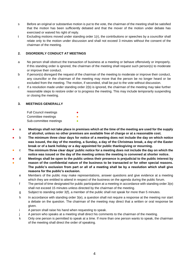- s Before an original or substantive motion is put to the vote, the chairman of the meeting shall be satisfied that the motion has been sufficiently debated and that the mover of the motion under debate has exercised or waived his right of reply.
- t Excluding motions moved under standing order 1(r), the contributions or speeches by a councillor shall relate only to the motion under discussion and shall not exceed 3 minutes without the consent of the chairman of the meeting.

#### <span id="page-3-0"></span>**2. DISORDERLY CONDUCT AT MEETINGS**

- a No person shall obstruct the transaction of business at a meeting or behave offensively or improperly. If this standing order is ignored, the chairman of the meeting shall request such person(s) to moderate or improve their conduct.
- b If person(s) disregard the request of the chairman of the meeting to moderate or improve their conduct, any councillor or the chairman of the meeting may move that the person be no longer heard or be excluded from the meeting. The motion, if seconded, shall be put to the vote without discussion.
- c If a resolution made under standing order 2(b) is ignored, the chairman of the meeting may take further reasonable steps to restore order or to progress the meeting. This may include temporarily suspending or closing the meeting.

#### <span id="page-3-1"></span>**3. MEETINGS GENERALLY**

| <b>Full Council meetings</b> |  |
|------------------------------|--|
| Committee meetings           |  |
| Sub-committee meetings       |  |

- a **Meetings shall not take place in premises which at the time of the meeting are used for the supply of alcohol, unless no other premises are available free of charge or at a reasonable cost.**
- b **The minimum three clear days for notice of a meeting does not include the day on which notice was issued, the day of the meeting, a Sunday, a day of the Christmas break, a day of the Easter break or of a bank holiday or a day appointed for public thanksgiving or mourning.**
- c **The minimum three clear days' public notice for a meeting does not include the day on which the notice was issued or the day of the meeting unless the meeting is convened at shorter notice.**
- ● d **Meetings shall be open to the public unless their presence is prejudicial to the public interest by reason of the confidential nature of the business to be transacted or for other special reasons. The public's exclusion from part or all of a meeting shall be by a resolution which shall give reasons for the public's exclusion.**
	- e Members of the public may make representations, answer questions and give evidence at a meeting which they are entitled to attend in respect of the business on the agenda during the public forum.
	- f The period of time designated for public participation at a meeting in accordance with standing order 3(e) shall not exceed 15 minutes unless directed by the chairman of the meeting.
	- g Subject to standing order 3(f), a member of the public shall not speak for more than 5 minutes.
	- h In accordance with standing order 3(e), a question shall not require a response at the meeting nor start a debate on the question. The chairman of the meeting may direct that a written or oral response be given.
	- i A person shall raise his hand when requesting to speak.
	- j A person who speaks at a meeting shall direct his comments to the chairman of the meeting.
	- k Only one person is permitted to speak at a time. If more than one person wants to speak, the chairman of the meeting shall direct the order of speaking.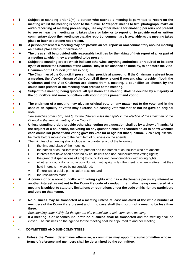- ● l **Subject to standing order 3(m), a person who attends a meeting is permitted to report on the meeting whilst the meeting is open to the public. To "report" means to film, photograph, make an audio recording of meeting proceedings, use any other means for enabling persons not present to see or hear the meeting as it takes place or later or to report or to provide oral or written commentary about the meeting so that the report or commentary is available as the meeting takes place or later to persons not present.**
- 。<br>【 m **A person present at a meeting may not provide an oral report or oral commentary about a meeting as it takes place without permission.**
- n **The press shall be provided with reasonable facilities for the taking of their report of all or part of**
- **a meeting at which they are entitled to be present.**
- o **Subject to standing orders which indicate otherwise, anything authorised or required to be done by, to or before the Chairman of the Council may in his absence be done by, to or before the Vice-Chairman of the Council (if there is one).**
- p **The Chairman of the Council, if present, shall preside at a meeting. If the Chairman is absent from a meeting, the Vice-Chairman of the Council (if there is one) if present, shall preside. If both the Chairman and the Vice-Chairman are absent from a meeting, a councillor as chosen by the councillors present at the meeting shall preside at the meeting.**
- ● q **Subject to a meeting being quorate, all questions at a meeting shall be decided by a majority of the councillors and non-councillors with voting rights present and voting.**
- ● ● r **The chairman of a meeting may give an original vote on any matter put to the vote, and in the case of an equality of votes may exercise his casting vote whether or not he gave an original vote.**

*See standing orders 5(h) and (i) for the different rules that apply in the election of the Chairman of the Council at the annual meeting of the Council.*

- s **Unless standing orders provide otherwise, voting on a question shall be by a show of hands. At the request of a councillor, the voting on any question shall be recorded so as to show whether each councillor present and voting gave his vote for or against that question.** Such a request shall be made before moving on to the next item of business on the agenda.
	- t The minutes of a meeting shall include an accurate record of the following:
		- i. the time and place of the meeting;
		- ii. the names of councillors who are present and the names of councillors who are absent;
		- iii. interests that have been declared by councillors and non-councillors with voting rights;
		- iv. the grant of dispensations (if any) to councillors and non-councillors with voting rights;
		- v. whether a councillor or non-councillor with voting rights left the meeting when matters that they held interests in were being considered;
		- vi. if there was a public participation session; and
		- vii. the resolutions made.

●

● ● ●

● ● ● u **A councillor or a non-councillor with voting rights who has a disclosable pecuniary interest or another interest as set out in the Council's code of conduct in a matter being considered at a meeting is subject to statutory limitations or restrictions under the code on his right to participate and vote on that matter.**

**No business may be transacted at a meeting unless at least one-third of the whole number of members of the Council are present and in no case shall the quorum of a meeting be less than three.**

*See standing order 4d(vi) for the quorum of a committee or sub-committee meeting.* 

- w **If a meeting is or becomes inquorate no business shall be transacted** and the meeting shall be closed. The business on the agenda for the meeting shall be adjourned to another meeting.
- <span id="page-4-0"></span>**4. COMMITTEES AND SUB-COMMITTEES**
- a **Unless the Council determines otherwise, a committee may appoint a sub-committee whose terms of reference and members shall be determined by the committee.**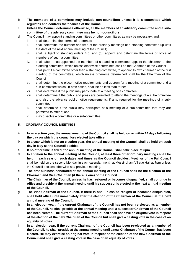- b **The members of a committee may include non-councillors unless it is a committee which regulates and controls the finances of the Council.**
- c **Unless the Council determines otherwise, all the members of an advisory committee and a subcommittee of the advisory committee may be non-councillors.**
- d The Council may appoint standing committees or other committees as may be necessary, and:
	- i. shall determine their terms of reference;
	- ii. shall determine the number and time of the ordinary meetings of a standing committee up until the date of the next annual meeting of the Council;
	- iii. shall, subject to standing orders 4(b) and (c), appoint and determine the terms of office of members of such a committee;
	- iv. shall, after it has appointed the members of a standing committee, appoint the chairman of the standing committee, which unless otherwise determined shall be the Chairman of the Council;
	- v. shall permit a committee other than a standing committee, to appoint its own chairman at the first meeting of the committee, which unless otherwise determined shall be the Chairman of the Council;
	- vi. shall determine the place, notice requirements and quorum for a meeting of a committee and a sub-committee which, in both cases, shall be no less than three;
	- vii. shall determine if the public may participate at a meeting of a committee;
	- viii. shall determine if the public and press are permitted to attend the meetings of a sub-committee and also the advance public notice requirements, if any, required for the meetings of a subcommittee;
	- ix. shall determine if the public may participate at a meeting of a sub-committee that they are permitted to attend; and
	- x. may dissolve a committee or a sub-committee.

#### <span id="page-5-0"></span>**5. ORDINARY COUNCIL MEETINGS**

- a **In an election year, the annual meeting of the Council shall be held on or within 14 days following the day on which the councillors elected take office.**
- b **In a year which is not an election year, the annual meeting of the Council shall be held on such day in May as the Council decides.**
- c **If no other time is fixed, the annual meeting of the Council shall take place at 6pm.**
- d **In addition to the annual meeting of the Council, at least three other ordinary meetings shall be held in each year on such dates and times as the Council decides.** Meetings of the Full Council shall be held on the second Monday in each calendar month at Messingham Village Hall at 7pm unless the Council decides otherwise at a previous meeting.
- e **The first business conducted at the annual meeting of the Council shall be the election of the Chairman and Vice-Chairman (if there is one) of the Council.**
- f **The Chairman of the Council, unless he has resigned or becomes disqualified, shall continue in office and preside at the annual meeting until his successor is elected at the next annual meeting of the Council.**
- g **The Vice-Chairman of the Council, if there is one, unless he resigns or becomes disqualified, shall hold office until immediately after the election of the Chairman of the Council at the next annual meeting of the Council.**
- h **In an election year, if the current Chairman of the Council has not been re-elected as a member of the Council, he shall preside at the annual meeting until a successor Chairman of the Council has been elected. The current Chairman of the Council shall not have an original vote in respect of the election of the new Chairman of the Council but shall give a casting vote in the case of an equality of votes.**
- i **In an election year, if the current Chairman of the Council has been re-elected as a member of the Council, he shall preside at the annual meeting until a new Chairman of the Council has been elected. He may exercise an original vote in respect of the election of the new Chairman of the Council and shall give a casting vote in the case of an equality of votes.**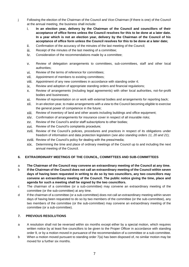- j Following the election of the Chairman of the Council and Vice-Chairman (if there is one) of the Council at the annual meeting, the business shall include:
	- i. **In an election year, delivery by the Chairman of the Council and councillors of their acceptance of office forms unless the Council resolves for this to be done at a later date. In a year which is not an election year, delivery by the Chairman of the Council of his acceptance of office form unless the Council resolves for this to be done at a later date;**
	- ii. Confirmation of the accuracy of the minutes of the last meeting of the Council;
	- iii. Receipt of the minutes of the last meeting of a committee;
	- iv. Consideration of the recommendations made by a committee;
	- v. Review of delegation arrangements to committees, sub-committees, staff and other local authorities;
	- vi. Review of the terms of reference for committees;
	- vii. Appointment of members to existing committees;
	- viii. Appointment of any new committees in accordance with standing order 4;
	- ix. Review and adoption of appropriate standing orders and financial regulations;
	- x. Review of arrangements (including legal agreements) with other local authorities, not-for-profit bodies and businesses;
	- xi. Review of representation on or work with external bodies and arrangements for reporting back;
	- xii. In an election year, to make arrangements with a view to the Council becoming eligible to exercise the general power of competence in the future;
	- xiii. Review of inventory of land and other assets including buildings and office equipment;
	- xiv. Confirmation of arrangements for insurance cover in respect of all insurable risks;
	- xv. Review of the Council's and/or staff subscriptions to other bodies;
	- xvi. Review of the Council's complaints procedure;
	- xvii. Review of the Council's policies, procedures and practices in respect of its obligations under freedom of information and data protection legislation (*see also standing orders 11, 20 and 21*);
	- xviii. Review of the Council's policy for dealing with the press/media;
	- xix. Determining the time and place of ordinary meetings of the Council up to and including the next annual meeting of the Council.

#### <span id="page-6-0"></span>**6. EXTRAORDINARY MEETINGS OF THE COUNCIL, COMMITTEES AND SUB-COMMITTEES**

- a **The Chairman of the Council may convene an extraordinary meeting of the Council at any time.**
- b **If the Chairman of the Council does not call an extraordinary meeting of the Council within seven days of having been requested in writing to do so by two councillors, any two councillors may convene an extraordinary meeting of the Council. The public notice giving the time, place and agenda for such a meeting shall be signed by the two councillors.**
- c The chairman of a committee (or a sub-committee) may convene an extraordinary meeting of the committee (or the sub-committee) at any time.
- d If the chairman of a committee (or a sub-committee) does not call an extraordinary meeting within seven days of having been requested to do so by two members of the committee (or the sub-committee), any two members of the committee (or the sub-committee) may convene an extraordinary meeting of the committee (or a sub-committee).

#### <span id="page-6-1"></span>**7. PREVIOUS RESOLUTIONS**

- a A resolution shall not be reversed within six months except either by a special motion, which requires written notice by at least five councillors to be given to the Proper Officer in accordance with standing order 9, or by a motion moved in pursuance of the recommendation of a committee or a sub-committee.
- b When a motion moved pursuant to standing order 7(a) has been disposed of, no similar motion may be moved for a further six months.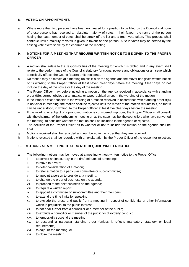#### <span id="page-7-0"></span>**8. VOTING ON APPOINTMENTS**

a Where more than two persons have been nominated for a position to be filled by the Council and none of those persons has received an absolute majority of votes in their favour, the name of the person having the least number of votes shall be struck off the list and a fresh vote taken. This process shall continue until a majority of votes is given in favour of one person. A tie in votes may be settled by the casting vote exercisable by the chairman of the meeting.

#### <span id="page-7-1"></span>**9. MOTIONS FOR A MEETING THAT REQUIRE WRITTEN NOTICE TO BE GIVEN TO THE PROPER OFFICER**

- a A motion shall relate to the responsibilities of the meeting for which it is tabled and in any event shall relate to the performance of the Council's statutory functions, powers and obligations or an issue which specifically affects the Council's area or its residents.
- b No motion may be moved at a meeting unless it is on the agenda and the mover has given written notice of its wording to the Proper Officer at least seven clear days before the meeting. Clear days do not include the day of the notice or the day of the meeting.
- c The Proper Officer may, before including a motion on the agenda received in accordance with standing order 9(b), correct obvious grammatical or typographical errors in the wording of the motion.
- d If the Proper Officer considers the wording of a motion received in accordance with standing order 9(b) is not clear in meaning, the motion shall be rejected until the mover of the motion resubmits it, so that it can be understood, in writing, to the Proper Officer at least five clear days before the meeting.
- e If the wording or subject of a proposed motion is considered improper, the Proper Officer shall consult with the chairman of the forthcoming meeting or, as the case may be, the councillors who have convened the meeting, to consider whether the motion shall be included in the agenda or rejected.
- f The decision of the Proper Officer as to whether or not to include the motion on the agenda shall be final.
- g Motions received shall be recorded and numbered in the order that they are received.
- h Motions rejected shall be recorded with an explanation by the Proper Officer of the reason for rejection.

#### <span id="page-7-2"></span>**10. MOTIONS AT A MEETING THAT DO NOT REQUIRE WRITTEN NOTICE**

- a The following motions may be moved at a meeting without written notice to the Proper Officer:
	- i. to correct an inaccuracy in the draft minutes of a meeting;
	- ii. to move to a vote;
	- iii. to defer consideration of a motion;
	- iv. to refer a motion to a particular committee or sub-committee;
	- v. to appoint a person to preside at a meeting;
	- vi. to change the order of business on the agenda;
	- vii. to proceed to the next business on the agenda;
	- viii. to require a written report;
	- ix. to appoint a committee or sub-committee and their members;
	- x. to extend the time limits for speaking;
	- xi. to exclude the press and public from a meeting in respect of confidential or other information which is prejudicial to the public interest;
	- xii. to not hear further from a councillor or a member of the public;
	- xiii. to exclude a councillor or member of the public for disorderly conduct;
	- xiv. to temporarily suspend the meeting;
	- xv. to suspend a particular standing order (unless it reflects mandatory statutory or legal requirements);
	- xvi. to adjourn the meeting; or
	- xvii. to close the meeting.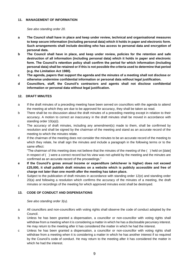#### <span id="page-8-0"></span>**11. MANAGEMENT OF INFORMATION**

*See also standing order 20.*

- **a The Council shall have in place and keep under review, technical and organisational measures to keep secure information (including personal data) which it holds in paper and electronic form. Such arrangements shall include deciding who has access to personal data and encryption of personal data.**
- **b The Council shall have in place, and keep under review, policies for the retention and safe destruction of all information (including personal data) which it holds in paper and electronic form. The Council's retention policy shall confirm the period for which information (including personal data) shall be retained or if this is not possible the criteria used to determine that period (e.g. the Limitation Act 1980).**
- **c The agenda, papers that support the agenda and the minutes of a meeting shall not disclose or otherwise undermine confidential information or personal data without legal justification.**
- **d Councillors, staff, the Council's contractors and agents shall not disclose confidential information or personal data without legal justification.**

#### <span id="page-8-1"></span>**12. DRAFT MINUTES**

- a If the draft minutes of a preceding meeting have been served on councillors with the agenda to attend the meeting at which they are due to be approved for accuracy, they shall be taken as read.
- b There shall be no discussion about the draft minutes of a preceding meeting except in relation to their accuracy. A motion to correct an inaccuracy in the draft minutes shall be moved in accordance with standing order 10(a)(i).
- c The accuracy of draft minutes, including any amendment(s) made to them, shall be confirmed by resolution and shall be signed by the chairman of the meeting and stand as an accurate record of the meeting to which the minutes relate.
- d If the chairman of the meeting does not consider the minutes to be an accurate record of the meeting to which they relate, he shall sign the minutes and include a paragraph in the following terms or to the same effect:

"The chairman of this meeting does not believe that the minutes of the meeting of the ( ) held on [date] in respect of ( ) were a correct record but his view was not upheld by the meeting and the minutes are confirmed as an accurate record of the proceedings."

- **e If the Council's gross annual income or expenditure (whichever is higher) does not exceed £25,000, it shall publish draft minutes on a website which is publicly accessible and free of charge not later than one month after the meeting has taken place.**
- f Subject to the publication of draft minutes in accordance with standing order 12(e) and standing order 20(a) and following a resolution which confirms the accuracy of the minutes of a meeting, the draft minutes or recordings of the meeting for which approved minutes exist shall be destroyed.

#### <span id="page-8-2"></span>**13. CODE OF CONDUCT AND DISPENSATIONS**

*See also standing order 3(u).*

- a All councillors and non-councillors with voting rights shall observe the code of conduct adopted by the Council.
- b Unless he has been granted a dispensation, a councillor or non-councillor with voting rights shall withdraw from a meeting when it is considering a matter in which he has a disclosable pecuniary interest. He may return to the meeting after it has considered the matter in which he had the interest.
- c Unless he has been granted a dispensation, a councillor or non-councillor with voting rights shall withdraw from a meeting when it is considering a matter in which he has another interest if so required by the Council's code of conduct. He may return to the meeting after it has considered the matter in which he had the interest.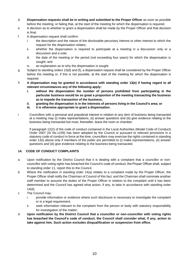- d **Dispensation requests shall be in writing and submitted to the Proper Officer** as soon as possible before the meeting, or failing that, at the start of the meeting for which the dispensation is required.
- e A decision as to whether to grant a dispensation shall be made by the Proper Officer and that decision is final.
- f A dispensation request shall confirm:
	- i. the description and the nature of the disclosable pecuniary interest or other interest to which the request for the dispensation relates;
	- ii. whether the dispensation is required to participate at a meeting in a discussion only or a discussion and a vote;
	- iii. the date of the meeting or the period (not exceeding four years) for which the dispensation is sought; and
	- iv. an explanation as to why the dispensation is sought.
- g Subject to standing orders 13(d) and (f), a dispensation request shall be considered by the Proper Officer before the meeting or, if this is not possible, at the start of the meeting for which the dispensation is required.
- h **A dispensation may be granted in accordance with standing order 13(e) if having regard to all relevant circumstances any of the following apply:**
	- **i. without the dispensation the number of persons prohibited from participating in the particular business would be so great a proportion of the meeting transacting the business as to impede the transaction of the business;**
	- **ii. granting the dispensation is in the interests of persons living in the Council's area; or**
	- **iii. it is otherwise appropriate to grant a dispensation.**
- i Councillors with a personal and prejudicial interest in relation to any item of business being transacted at a meeting may (i) make representations, (ii) answer questions and (iii) give evidence relating to the business being transacted but must, thereafter, leave the room or chamber.

If paragraph 12(2) of the code of conduct contained in the Local Authorities (Model Code of Conduct) Order 2007 (SI No.1159) has been adopted by the Council or pursuant to relevant provisions in a statutory code of conduct in force at the time, councillors may exercise the rights contained in standing order 13(i) above only if members of the public are permitted to (i) make representations, (ii) answer questions and (iii) give evidence relating to the business being transacted.

#### <span id="page-9-0"></span>**14. CODE OF CONDUCT COMPLAINTS**

- a Upon notification by the District Council that it is dealing with a complaint that a councillor or noncouncillor with voting rights has breached the Council's code of conduct, the Proper Officer shall, subject to standing order 11, report this to the Council.
- b Where the notification in standing order 14(a) relates to a complaint made by the Proper Officer, the Proper Officer shall notify the Chairman of Council of this fact, and the Chairman shall nominate another staff member to assume the duties of the Proper Officer in relation to the complaint until it has been determined and the Council has agreed what action, if any, to take in accordance with standing order 14(d).
- c The Council may:
	- i. provide information or evidence where such disclosure is necessary to investigate the complaint or is a legal requirement;
	- ii. seek information relevant to the complaint from the person or body with statutory responsibility for investigation of the matter;
- d **Upon notification by the District Council that a councillor or non-councillor with voting rights has breached the Council's code of conduct, the Council shall consider what, if any, action to take against him. Such action excludes disqualification or suspension from office.**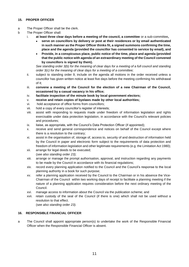#### <span id="page-10-0"></span>**15. PROPER OFFICER**

- a The Proper Officer shall be the clerk.
- b The Proper Officer shall:
	- i. **at least three clear days before a meeting of the council, a committee** or a sub-committee**,**
		- **serve on councillors by delivery or post at their residences or by email authenticated in such manner as the Proper Officer thinks fit, a signed summons confirming the time, place and the agenda (provided the councillor has consented to service by email), and**
		- **Provide, in a conspicuous place, public notice of the time, place and agenda (provided that the public notice with agenda of an extraordinary meeting of the Council convened by councillors is signed by them).**

*See standing order 3(b) for the meaning of clear days for a meeting of a full council and standing order 3(c) for the meaning of clear days for a meeting of a committee;*

- ii. subject to standing order 9, include on the agenda all motions in the order received unless a councillor has given written notice at least five days before the meeting confirming his withdrawal of it;
- iii. **convene a meeting of the Council for the election of a new Chairman of the Council, occasioned by a casual vacancy in his office;**
- iv. **facilitate inspection of the minute book by local government electors;**
- v. **receive and retain copies of byelaws made by other local authorities;**
- vi. hold acceptance of office forms from councillors;
- vii. hold a copy of every councillor's register of interests;
- viii. assist with responding to requests made under freedom of information legislation and rights exercisable under data protection legislation, in accordance with the Council's relevant policies and procedures;
- ix. liaise, as appropriate, with the Council's Data Protection Officer (if appointed);
- x. receive and send general correspondence and notices on behalf of the Council except where there is a resolution to the contrary;
- xi. assist in the organisation of, storage of, access to, security of and destruction of information held by the Council in paper and electronic form subject to the requirements of data protection and freedom of information legislation and other legitimate requirements (e.g. the Limitation Act 1980);
- xii. arrange for legal deeds to be executed; (*see also standing order 23);*
- xiii. arrange or manage the prompt authorisation, approval, and instruction regarding any payments to be made by the Council in accordance with its financial regulations;
- xiv. record every planning application notified to the Council and the Council's response to the local planning authority in a book for such purpose;
- xv. refer a planning application received by the Council to the Chairman or in his absence the Vice-Chairman of the Council within two working days of receipt to facilitate a planning meeting if the nature of a planning application requires consideration before the next ordinary meeting of the Council.
- xvi. manage access to information about the Council via the publication scheme; and
- xvii. retain custody of the seal of the Council (if there is one) which shall not be used without a resolution to that effect.

(s*ee also standing order 23).*

#### <span id="page-10-1"></span>**16. RESPONSIBLE FINANCIAL OFFICER**

a The Council shall appoint appropriate person(s) to undertake the work of the Responsible Financial Officer when the Responsible Financial Officer is absent.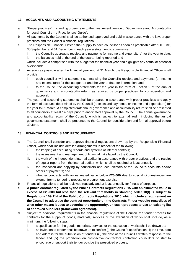#### <span id="page-11-0"></span>**17. ACCOUNTS AND ACCOUNTING STATEMENTS**

- a "Proper practices" in standing orders refer to the most recent version of "Governance and Accountability for Local Councils – a Practitioners' Guide".
- b All payments by the Council shall be authorised, approved and paid in accordance with the law, proper practices and the Council's financial regulations.
- c The Responsible Financial Officer shall supply to each councillor as soon as practicable after 30 June, 30 September and 31 December in each year a statement to summarise:
	- i. the Council's aggregate receipts and payments (or income and expenditure) for the year to date; ii. the balances held at the end of the quarter being reported and

which includes a comparison with the budget for the financial year and highlights any actual or potential overspends.

- d As soon as possible after the financial year end at 31 March, the Responsible Financial Officer shall provide:
	- i. each councillor with a statement summarising the Council's receipts and payments (or income and expenditure) for the last quarter and the year to date for information; and
	- ii. to the Council the accounting statements for the year in the form of Section 2 of the annual governance and accountability return, as required by proper practices, for consideration and approval.
- e The year-end accounting statements shall be prepared in accordance with proper practices and apply the form of accounts determined by the Council (receipts and payments, or income and expenditure) for the year to 31 March. A completed draft annual governance and accountability return shall be presented to all councillors at least 14 days prior to anticipated approval by the Council. The annual governance and accountability return of the Council, which is subject to external audit, including the annual governance statement, shall be presented to the Council for consideration and formal approval before 30 June.

#### <span id="page-11-1"></span>**18. FINANCIAL CONTROLS AND PROCUREMENT**

- a The Council shall consider and approve financial regulations drawn up by the Responsible Financial Officer, which shall include detailed arrangements in respect of the following:
	- i. the keeping of accounting records and systems of internal controls;
	- ii. the assessment and management of financial risks faced by the Council;
	- iii. the work of the independent internal auditor in accordance with proper practices and the receipt of regular reports from the internal auditor, which shall be required at least annually;
	- iv. the inspection and copying by councillors and local electors of the Council's accounts and/or orders of payments; and
	- v. whether contracts with an estimated value below **£25,000** due to special circumstances are exempt from a tendering process or procurement exercise.
- b Financial regulations shall be reviewed regularly and at least annually for fitness of purpose.
- c **A public contract regulated by the Public Contracts Regulations 2015 with an estimated value in excess of £25,000 but less than the relevant thresholds in standing order 18(f) is subject to Regulations 109-114 of the Public Contracts Regulations 2015 which include a requirement on the Council to advertise the contract opportunity on the Contracts Finder website regardless of what other means it uses to advertise the opportunity, unless it proposes to use an existing list of approved suppliers (framework agreement).**
- d Subject to additional requirements in the financial regulations of the Council, the tender process for contracts for the supply of goods, materials, services or the execution of works shall include, as a minimum, the following steps:
	- i. a specification for the goods, materials, services or the execution of works shall be drawn up;
	- ii. an invitation to tender shall be drawn up to confirm (i) the Council's specification (ii) the time, date and address for the submission of tenders (iii) the date of the Council's written response to the tender and (iv) the prohibition on prospective contractors contacting councillors or staff to encourage or support their tender outside the prescribed process;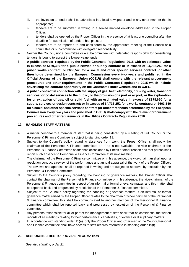- iii. the invitation to tender shall be advertised in a local newspaper and in any other manner that is appropriate;
- iv. tenders are to be submitted in writing in a sealed marked envelope addressed to the Proper Officer;
- v. tenders shall be opened by the Proper Officer in the presence of at least one councillor after the deadline for submission of tenders has passed;
- vi. tenders are to be reported to and considered by the appropriate meeting of the Council or a committee or sub-committee with delegated responsibility.
- e Neither the Council, nor a committee or a sub-committee with delegated responsibility for considering tenders, is bound to accept the lowest value tender.
- f **A public contract regulated by the Public Contracts Regulations 2015 with an estimated value in excess of £189,330 for a public service or supply contract or in excess of £4,733,252 for a public works contract; or £663,540 for a social and other specific services contract (or other thresholds determined by the European Commission every two years and published in the Official Journal of the European Union (OJEU)) shall comply with the relevant procurement procedures and other requirements in the Public Contracts Regulations 2015 which include advertising the contract opportunity on the Contracts Finder website and in OJEU.**
- g **A public contract in connection with the supply of gas, heat, electricity, drinking water, transport services, or postal services to the public; or the provision of a port or airport; or the exploration for or extraction of gas, oil or solid fuel with an estimated value in excess of £378,660 for a supply, services or design contract; or in excess of £4,733,252 for a works contract; or £663,540 for a social and other specific services contract (or other thresholds determined by the European Commission every two years and published in OJEU) shall comply with the relevant procurement procedures and other requirements in the Utilities Contracts Regulations 2016.**

#### <span id="page-12-0"></span>**19. HANDLING STAFF MATTERS**

- a A matter personal to a member of staff that is being considered by a meeting of Full Council or the Personnel & Finance Comittee is subject to standing order 11.
- b Subject to the Council's policy regarding absences from work, the Proper Officer shall notify the chairman of the Personnel & Finance committee or, if he is not available, the vice-chairman of the Personnel & Finance Committee of absence occasioned by illness or other reason and that person shall report such absence to Personnel & Finance Committee at its next meeting.
- c The chairman of the Personnel & Finance committee or in his absence, the vice-chairman shall upon a resolution conduct a review of the performance and annual appraisal of the work of the Proper Officer. The reviews and appraisal shall be reported in writing and are subject to approval by resolution by the Personnel & Finance Committee.
- d Subject to the Council's policy regarding the handling of grievance matters, the Proper Officer shall contact the chairman of the Personnel & Finance committee or in his absence, the vice-chairman of the Personnel & Finance committee in respect of an informal or formal grievance matter, and this matter shall be reported back and progressed by resolution of the Personnel & Finance committee.
- e Subject to the Council's policy regarding the handling of grievance matters, if an informal or formal grievance matter raised by the Proper Officer relates to the chairman or vice-chairman of the Personnel & Finance committee, this shall be communicated to another member of the Personnel & Finance committee which shall be reported back and progressed by resolution of the Personnel & Finance committee.
- f Any persons responsible for all or part of the management of staff shall treat as confidential the written records of all meetings relating to their performance, capabilities, grievance or disciplinary matters.
- g In accordance with standing order 11(a), only the Proper Officer and Chairman of the Council/Personal and Finance committee shall have access to staff records referred to in standing order 19(f).

#### <span id="page-12-1"></span>**20. RESPONSIBILITIES TO PROVIDE INFORMATION**

 *See also standing order 21.*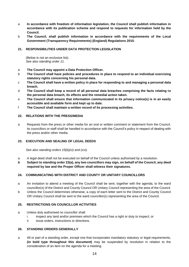- a **In accordance with freedom of information legislation, the Council shall publish information in accordance with its publication scheme and respond to requests for information held by the Council.**
- b **The Council, shall publish information in accordance with the requirements of the Local Government (Transparency Requirements) (England) Regulations 2015**.

#### <span id="page-13-0"></span>**21. RESPONSIBILITIES UNDER DATA PROTECTION LEGISLATION**

 (Below is not an exclusive list).  *See also standing order 11.*

- a **The Council may appoint a Data Protection Officer.**
- b **The Council shall have policies and procedures in place to respond to an individual exercising statutory rights concerning his personal data.**
- c **The Council shall have a written policy in place for responding to and managing a personal data breach.**
- d **The Council shall keep a record of all personal data breaches comprising the facts relating to the personal data breach, its effects and the remedial action taken.**
- e **The Council shall ensure that information communicated in its privacy notice(s) is in an easily accessible and available form and kept up to date.**
- f **The Council shall maintain a written record of its processing activities.**

#### <span id="page-13-1"></span>**22. RELATIONS WITH THE PRESS/MEDIA**

a Requests from the press or other media for an oral or written comment or statement from the Council, its councillors or staff shall be handled in accordance with the Council's policy in respect of dealing with the press and/or other media.

#### <span id="page-13-2"></span>**23. EXECUTION AND SEALING OF LEGAL DEEDS**

 *See also standing orders 15(b)(xi) and (xvi).*

- a A legal deed shall not be executed on behalf of the Council unless authorised by a resolution.
- **b Subject to standing order 23(a), any two councillors may sign, on behalf of the Council, any deed required by law and the Proper Officer shall witness their signatures.**

#### <span id="page-13-3"></span>**24. COMMUNICATING WITH DISTRICT AND COUNTY OR UNITARY COUNCILLORS**

- a An invitation to attend a meeting of the Council shall be sent, together with the agenda, to the ward councillor(s) of the District and County Council OR Unitary Council representing the area of the Council.
- b Unless the Council determines otherwise, a copy of each letter sent to the District and County Council OR Unitary Council shall be sent to the ward councillor(s) representing the area of the Council.

#### <span id="page-13-4"></span>**25. RESTRICTIONS ON COUNCILLOR ACTIVITIES**

- a Unless duly authorised no councillor shall:
	- i. inspect any land and/or premises which the Council has a right or duty to inspect; or
	- ii. issue orders, instructions or directions.

#### <span id="page-13-5"></span>**26. STANDING ORDERS GENERALLY**

a All or part of a standing order, except one that incorporates mandatory statutory or legal requirements, **(in bold type throughout this document)** may be suspended by resolution in relation to the consideration of an item on the agenda for a meeting.